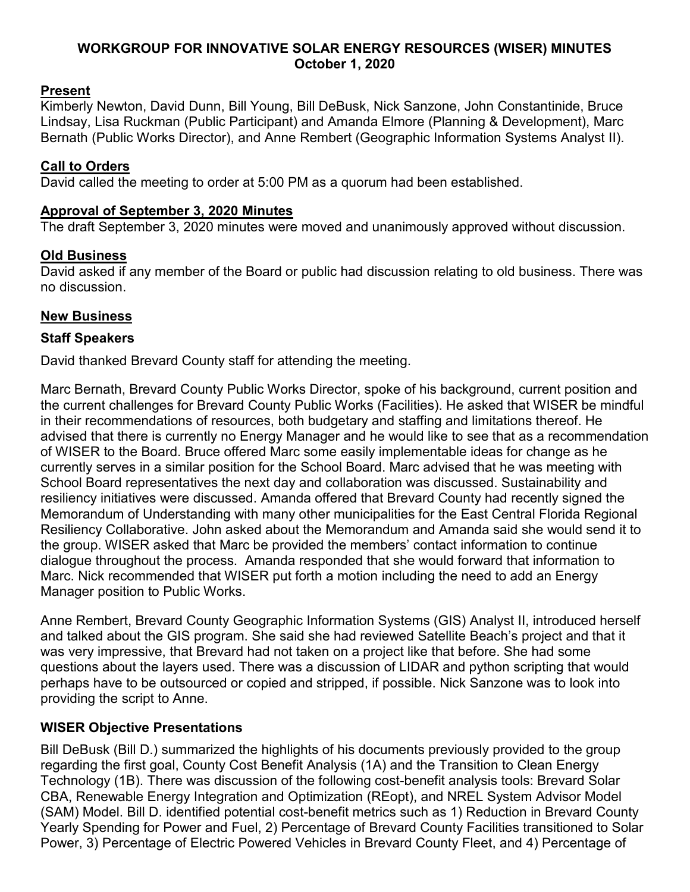## **WORKGROUP FOR INNOVATIVE SOLAR ENERGY RESOURCES (WISER) MINUTES October 1, 2020**

# **Present**

Kimberly Newton, David Dunn, Bill Young, Bill DeBusk, Nick Sanzone, John Constantinide, Bruce Lindsay, Lisa Ruckman (Public Participant) and Amanda Elmore (Planning & Development), Marc Bernath (Public Works Director), and Anne Rembert (Geographic Information Systems Analyst II).

## **Call to Orders**

David called the meeting to order at 5:00 PM as a quorum had been established.

#### **Approval of September 3, 2020 Minutes**

The draft September 3, 2020 minutes were moved and unanimously approved without discussion.

# **Old Business**

David asked if any member of the Board or public had discussion relating to old business. There was no discussion.

## **New Business**

## **Staff Speakers**

David thanked Brevard County staff for attending the meeting.

Marc Bernath, Brevard County Public Works Director, spoke of his background, current position and the current challenges for Brevard County Public Works (Facilities). He asked that WISER be mindful in their recommendations of resources, both budgetary and staffing and limitations thereof. He advised that there is currently no Energy Manager and he would like to see that as a recommendation of WISER to the Board. Bruce offered Marc some easily implementable ideas for change as he currently serves in a similar position for the School Board. Marc advised that he was meeting with School Board representatives the next day and collaboration was discussed. Sustainability and resiliency initiatives were discussed. Amanda offered that Brevard County had recently signed the Memorandum of Understanding with many other municipalities for the East Central Florida Regional Resiliency Collaborative. John asked about the Memorandum and Amanda said she would send it to the group. WISER asked that Marc be provided the members' contact information to continue dialogue throughout the process. Amanda responded that she would forward that information to Marc. Nick recommended that WISER put forth a motion including the need to add an Energy Manager position to Public Works.

Anne Rembert, Brevard County Geographic Information Systems (GIS) Analyst II, introduced herself and talked about the GIS program. She said she had reviewed Satellite Beach's project and that it was very impressive, that Brevard had not taken on a project like that before. She had some questions about the layers used. There was a discussion of LIDAR and python scripting that would perhaps have to be outsourced or copied and stripped, if possible. Nick Sanzone was to look into providing the script to Anne.

# **WISER Objective Presentations**

Bill DeBusk (Bill D.) summarized the highlights of his documents previously provided to the group regarding the first goal, County Cost Benefit Analysis (1A) and the Transition to Clean Energy Technology (1B). There was discussion of the following cost-benefit analysis tools: Brevard Solar CBA, Renewable Energy Integration and Optimization (REopt), and NREL System Advisor Model (SAM) Model. Bill D. identified potential cost-benefit metrics such as 1) Reduction in Brevard County Yearly Spending for Power and Fuel, 2) Percentage of Brevard County Facilities transitioned to Solar Power, 3) Percentage of Electric Powered Vehicles in Brevard County Fleet, and 4) Percentage of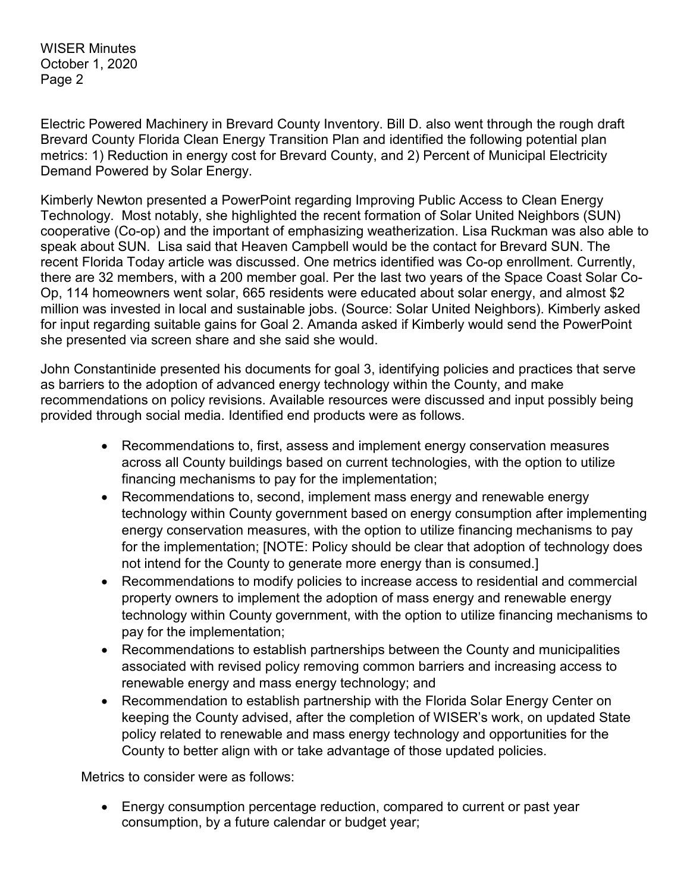WISER Minutes October 1, 2020 Page 2

Electric Powered Machinery in Brevard County Inventory. Bill D. also went through the rough draft Brevard County Florida Clean Energy Transition Plan and identified the following potential plan metrics: 1) Reduction in energy cost for Brevard County, and 2) Percent of Municipal Electricity Demand Powered by Solar Energy.

Kimberly Newton presented a PowerPoint regarding Improving Public Access to Clean Energy Technology. Most notably, she highlighted the recent formation of Solar United Neighbors (SUN) cooperative (Co-op) and the important of emphasizing weatherization. Lisa Ruckman was also able to speak about SUN. Lisa said that Heaven Campbell would be the contact for Brevard SUN. The recent Florida Today article was discussed. One metrics identified was Co-op enrollment. Currently, there are 32 members, with a 200 member goal. Per the last two years of the Space Coast Solar Co-Op, 114 homeowners went solar, 665 residents were educated about solar energy, and almost \$2 million was invested in local and sustainable jobs. (Source: Solar United Neighbors). Kimberly asked for input regarding suitable gains for Goal 2. Amanda asked if Kimberly would send the PowerPoint she presented via screen share and she said she would.

John Constantinide presented his documents for goal 3, identifying policies and practices that serve as barriers to the adoption of advanced energy technology within the County, and make recommendations on policy revisions. Available resources were discussed and input possibly being provided through social media. Identified end products were as follows.

- Recommendations to, first, assess and implement energy conservation measures across all County buildings based on current technologies, with the option to utilize financing mechanisms to pay for the implementation;
- Recommendations to, second, implement mass energy and renewable energy technology within County government based on energy consumption after implementing energy conservation measures, with the option to utilize financing mechanisms to pay for the implementation; [NOTE: Policy should be clear that adoption of technology does not intend for the County to generate more energy than is consumed.]
- Recommendations to modify policies to increase access to residential and commercial property owners to implement the adoption of mass energy and renewable energy technology within County government, with the option to utilize financing mechanisms to pay for the implementation;
- Recommendations to establish partnerships between the County and municipalities associated with revised policy removing common barriers and increasing access to renewable energy and mass energy technology; and
- Recommendation to establish partnership with the Florida Solar Energy Center on keeping the County advised, after the completion of WISER's work, on updated State policy related to renewable and mass energy technology and opportunities for the County to better align with or take advantage of those updated policies.

Metrics to consider were as follows:

• Energy consumption percentage reduction, compared to current or past year consumption, by a future calendar or budget year;